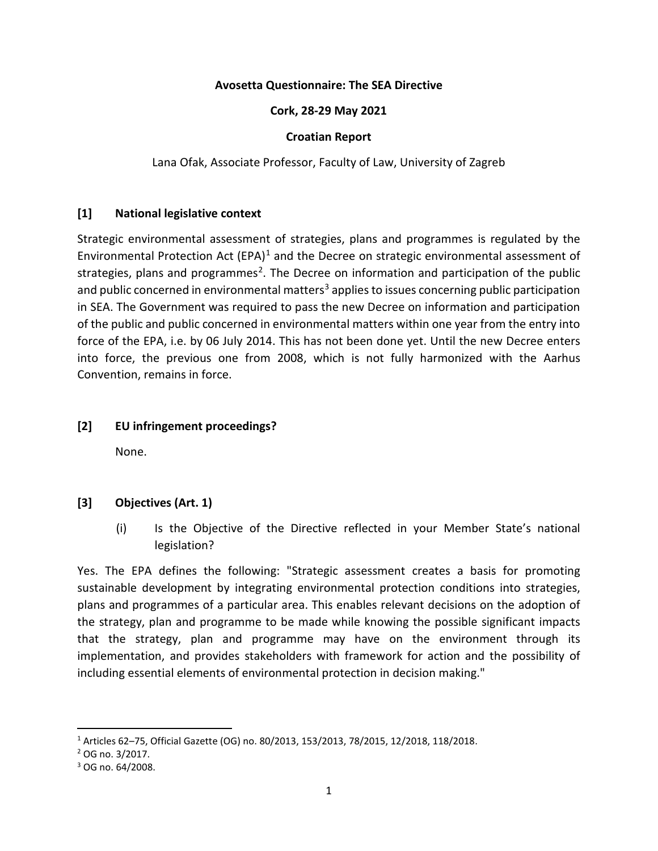### **Avosetta Questionnaire: The SEA Directive**

### **Cork, 28-29 May 2021**

### **Croatian Report**

Lana Ofak, Associate Professor, Faculty of Law, University of Zagreb

## **[1] National legislative context**

Strategic environmental assessment of strategies, plans and programmes is regulated by the Environmental Protection Act  $(EPA)^1$  $(EPA)^1$  and the Decree on strategic environmental assessment of strategies, plans and programmes<sup>2</sup>. The Decree on information and participation of the public and public concerned in environmental matters<sup>3</sup> applies to issues concerning public participation in SEA. The Government was required to pass the new Decree on information and participation of the public and public concerned in environmental matters within one year from the entry into force of the EPA, i.e. by 06 July 2014. This has not been done yet. Until the new Decree enters into force, the previous one from 2008, which is not fully harmonized with the Aarhus Convention, remains in force.

## **[2] EU infringement proceedings?**

None.

# **[3] Objectives (Art. 1)**

(i) Is the Objective of the Directive reflected in your Member State's national legislation?

Yes. The EPA defines the following: "Strategic assessment creates a basis for promoting sustainable development by integrating environmental protection conditions into strategies, plans and programmes of a particular area. This enables relevant decisions on the adoption of the strategy, plan and programme to be made while knowing the possible significant impacts that the strategy, plan and programme may have on the environment through its implementation, and provides stakeholders with framework for action and the possibility of including essential elements of environmental protection in decision making."

<span id="page-0-0"></span> <sup>1</sup> Articles 62–75, Official Gazette (OG) no. 80/2013, 153/2013, 78/2015, 12/2018, 118/2018.

<span id="page-0-1"></span><sup>2</sup> OG no. 3/2017.

<span id="page-0-2"></span><sup>3</sup> OG no. 64/2008.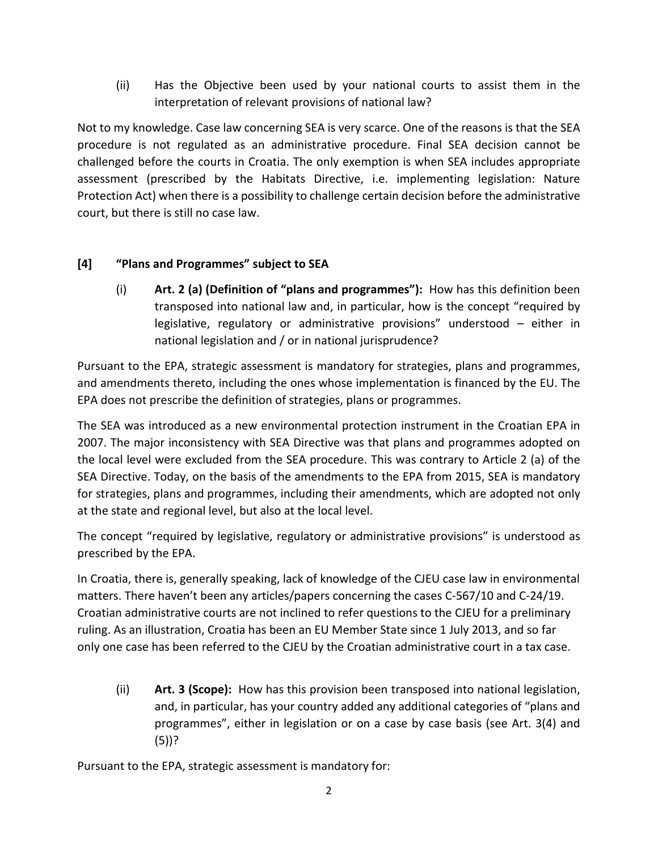(ii) Has the Objective been used by your national courts to assist them in the interpretation of relevant provisions of national law?

Not to my knowledge. Case law concerning SEA is very scarce. One of the reasons is that the SEA procedure is not regulated as an administrative procedure. Final SEA decision cannot be challenged before the courts in Croatia. The only exemption is when SEA includes appropriate assessment (prescribed by the Habitats Directive, i.e. implementing legislation: Nature Protection Act) when there is a possibility to challenge certain decision before the administrative court, but there is still no case law.

# **[4] "Plans and Programmes" subject to SEA**

(i) **Art. 2 (a) (Definition of "plans and programmes"):** How has this definition been transposed into national law and, in particular, how is the concept "required by legislative, regulatory or administrative provisions" understood – either in national legislation and / or in national jurisprudence?

Pursuant to the EPA, strategic assessment is mandatory for strategies, plans and programmes, and amendments thereto, including the ones whose implementation is financed by the EU. The EPA does not prescribe the definition of strategies, plans or programmes.

The SEA was introduced as a new environmental protection instrument in the Croatian EPA in 2007. The major inconsistency with SEA Directive was that plans and programmes adopted on the local level were excluded from the SEA procedure. This was contrary to Article 2 (a) of the SEA Directive. Today, on the basis of the amendments to the EPA from 2015, SEA is mandatory for strategies, plans and programmes, including their amendments, which are adopted not only at the state and regional level, but also at the local level.

The concept "required by legislative, regulatory or administrative provisions" is understood as prescribed by the EPA.

In Croatia, there is, generally speaking, lack of knowledge of the CJEU case law in environmental matters. There haven't been any articles/papers concerning the cases C-567/10 and C-24/19. Croatian administrative courts are not inclined to refer questions to the CJEU for a preliminary ruling. As an illustration, Croatia has been an EU Member State since 1 July 2013, and so far only one case has been referred to the CJEU by the Croatian administrative court in a tax case.

(ii) **Art. 3 (Scope):** How has this provision been transposed into national legislation, and, in particular, has your country added any additional categories of "plans and programmes", either in legislation or on a case by case basis (see Art. 3(4) and (5))?

Pursuant to the EPA, strategic assessment is mandatory for: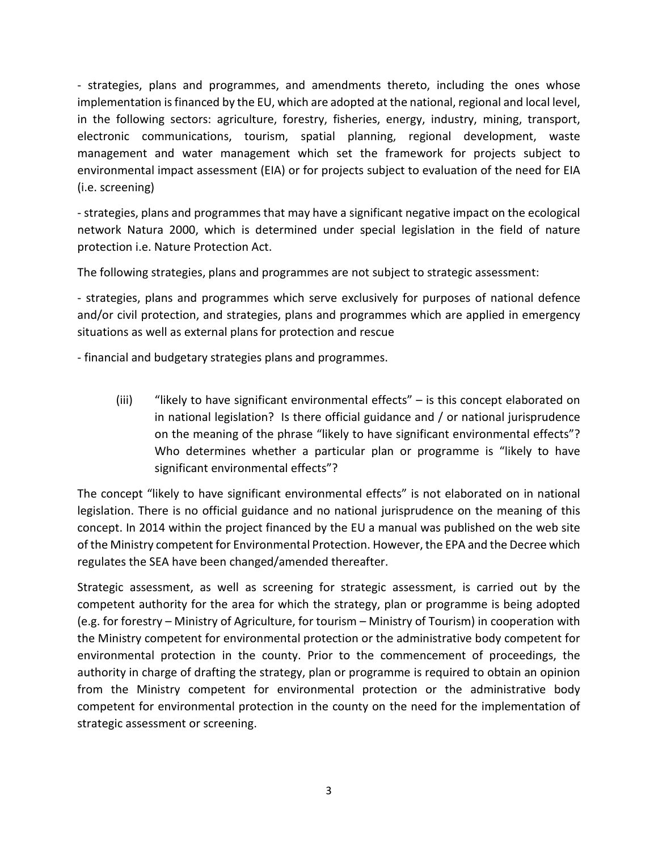- strategies, plans and programmes, and amendments thereto, including the ones whose implementation is financed by the EU, which are adopted at the national, regional and local level, in the following sectors: agriculture, forestry, fisheries, energy, industry, mining, transport, electronic communications, tourism, spatial planning, regional development, waste management and water management which set the framework for projects subject to environmental impact assessment (EIA) or for projects subject to evaluation of the need for EIA (i.e. screening)

- strategies, plans and programmes that may have a significant negative impact on the ecological network Natura 2000, which is determined under special legislation in the field of nature protection i.e. Nature Protection Act.

The following strategies, plans and programmes are not subject to strategic assessment:

- strategies, plans and programmes which serve exclusively for purposes of national defence and/or civil protection, and strategies, plans and programmes which are applied in emergency situations as well as external plans for protection and rescue

- financial and budgetary strategies plans and programmes.

(iii) "likely to have significant environmental effects" – is this concept elaborated on in national legislation? Is there official guidance and / or national jurisprudence on the meaning of the phrase "likely to have significant environmental effects"? Who determines whether a particular plan or programme is "likely to have significant environmental effects"?

The concept "likely to have significant environmental effects" is not elaborated on in national legislation. There is no official guidance and no national jurisprudence on the meaning of this concept. In 2014 within the project financed by the EU a manual was published on the web site of the Ministry competent for Environmental Protection. However, the EPA and the Decree which regulates the SEA have been changed/amended thereafter.

Strategic assessment, as well as screening for strategic assessment, is carried out by the competent authority for the area for which the strategy, plan or programme is being adopted (e.g. for forestry – Ministry of Agriculture, for tourism – Ministry of Tourism) in cooperation with the Ministry competent for environmental protection or the administrative body competent for environmental protection in the county. Prior to the commencement of proceedings, the authority in charge of drafting the strategy, plan or programme is required to obtain an opinion from the Ministry competent for environmental protection or the administrative body competent for environmental protection in the county on the need for the implementation of strategic assessment or screening.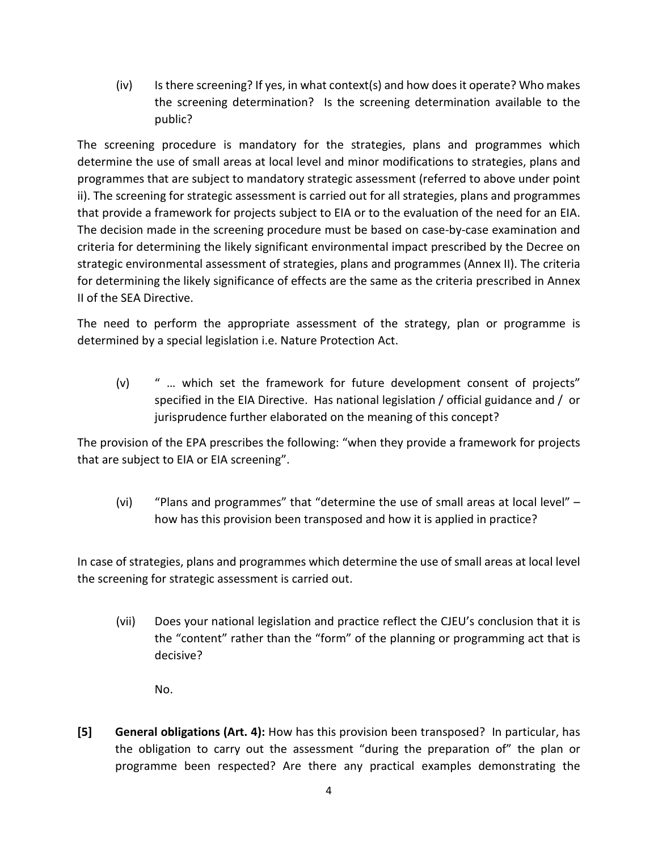(iv) Is there screening? If yes, in what context(s) and how does it operate? Who makes the screening determination? Is the screening determination available to the public?

The screening procedure is mandatory for the strategies, plans and programmes which determine the use of small areas at local level and minor modifications to strategies, plans and programmes that are subject to mandatory strategic assessment (referred to above under point ii). The screening for strategic assessment is carried out for all strategies, plans and programmes that provide a framework for projects subject to EIA or to the evaluation of the need for an EIA. The decision made in the screening procedure must be based on case-by-case examination and criteria for determining the likely significant environmental impact prescribed by the Decree on strategic environmental assessment of strategies, plans and programmes (Annex II). The criteria for determining the likely significance of effects are the same as the criteria prescribed in Annex II of the SEA Directive.

The need to perform the appropriate assessment of the strategy, plan or programme is determined by a special legislation i.e. Nature Protection Act.

(v) " … which set the framework for future development consent of projects" specified in the EIA Directive. Has national legislation / official guidance and / or jurisprudence further elaborated on the meaning of this concept?

The provision of the EPA prescribes the following: "when they provide a framework for projects that are subject to EIA or EIA screening".

(vi) "Plans and programmes" that "determine the use of small areas at local level" – how has this provision been transposed and how it is applied in practice?

In case of strategies, plans and programmes which determine the use of small areas at local level the screening for strategic assessment is carried out.

- (vii) Does your national legislation and practice reflect the CJEU's conclusion that it is the "content" rather than the "form" of the planning or programming act that is decisive?
	- No.
- **[5] General obligations (Art. 4):** How has this provision been transposed? In particular, has the obligation to carry out the assessment "during the preparation of" the plan or programme been respected? Are there any practical examples demonstrating the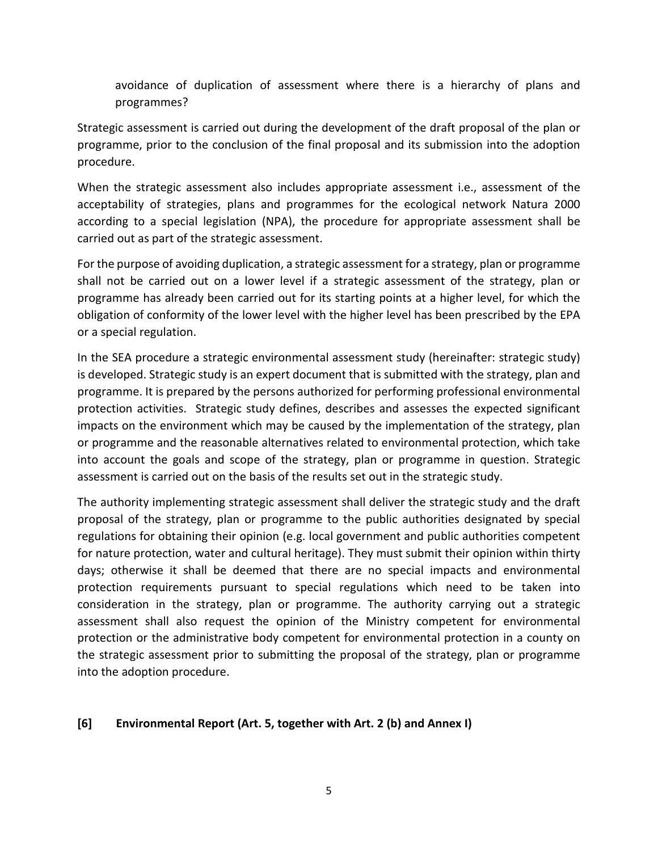avoidance of duplication of assessment where there is a hierarchy of plans and programmes?

Strategic assessment is carried out during the development of the draft proposal of the plan or programme, prior to the conclusion of the final proposal and its submission into the adoption procedure.

When the strategic assessment also includes appropriate assessment i.e., assessment of the acceptability of strategies, plans and programmes for the ecological network Natura 2000 according to a special legislation (NPA), the procedure for appropriate assessment shall be carried out as part of the strategic assessment.

For the purpose of avoiding duplication, a strategic assessment for a strategy, plan or programme shall not be carried out on a lower level if a strategic assessment of the strategy, plan or programme has already been carried out for its starting points at a higher level, for which the obligation of conformity of the lower level with the higher level has been prescribed by the EPA or a special regulation.

In the SEA procedure a strategic environmental assessment study (hereinafter: strategic study) is developed. Strategic study is an expert document that is submitted with the strategy, plan and programme. It is prepared by the persons authorized for performing professional environmental protection activities. Strategic study defines, describes and assesses the expected significant impacts on the environment which may be caused by the implementation of the strategy, plan or programme and the reasonable alternatives related to environmental protection, which take into account the goals and scope of the strategy, plan or programme in question. Strategic assessment is carried out on the basis of the results set out in the strategic study.

The authority implementing strategic assessment shall deliver the strategic study and the draft proposal of the strategy, plan or programme to the public authorities designated by special regulations for obtaining their opinion (e.g. local government and public authorities competent for nature protection, water and cultural heritage). They must submit their opinion within thirty days; otherwise it shall be deemed that there are no special impacts and environmental protection requirements pursuant to special regulations which need to be taken into consideration in the strategy, plan or programme. The authority carrying out a strategic assessment shall also request the opinion of the Ministry competent for environmental protection or the administrative body competent for environmental protection in a county on the strategic assessment prior to submitting the proposal of the strategy, plan or programme into the adoption procedure.

## **[6] Environmental Report (Art. 5, together with Art. 2 (b) and Annex I)**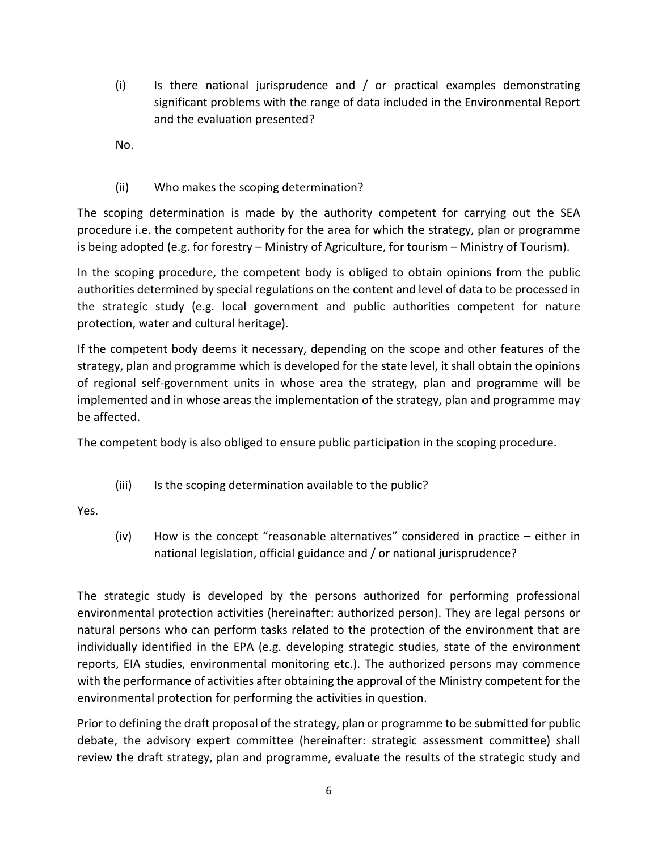(i) Is there national jurisprudence and / or practical examples demonstrating significant problems with the range of data included in the Environmental Report and the evaluation presented?

No.

(ii) Who makes the scoping determination?

The scoping determination is made by the authority competent for carrying out the SEA procedure i.e. the competent authority for the area for which the strategy, plan or programme is being adopted (e.g. for forestry – Ministry of Agriculture, for tourism – Ministry of Tourism).

In the scoping procedure, the competent body is obliged to obtain opinions from the public authorities determined by special regulations on the content and level of data to be processed in the strategic study (e.g. local government and public authorities competent for nature protection, water and cultural heritage).

If the competent body deems it necessary, depending on the scope and other features of the strategy, plan and programme which is developed for the state level, it shall obtain the opinions of regional self-government units in whose area the strategy, plan and programme will be implemented and in whose areas the implementation of the strategy, plan and programme may be affected.

The competent body is also obliged to ensure public participation in the scoping procedure.

(iii) Is the scoping determination available to the public?

Yes.

(iv) How is the concept "reasonable alternatives" considered in practice – either in national legislation, official guidance and / or national jurisprudence?

The strategic study is developed by the persons authorized for performing professional environmental protection activities (hereinafter: authorized person). They are legal persons or natural persons who can perform tasks related to the protection of the environment that are individually identified in the EPA (e.g. developing strategic studies, state of the environment reports, EIA studies, environmental monitoring etc.). The authorized persons may commence with the performance of activities after obtaining the approval of the Ministry competent for the environmental protection for performing the activities in question.

Prior to defining the draft proposal of the strategy, plan or programme to be submitted for public debate, the advisory expert committee (hereinafter: strategic assessment committee) shall review the draft strategy, plan and programme, evaluate the results of the strategic study and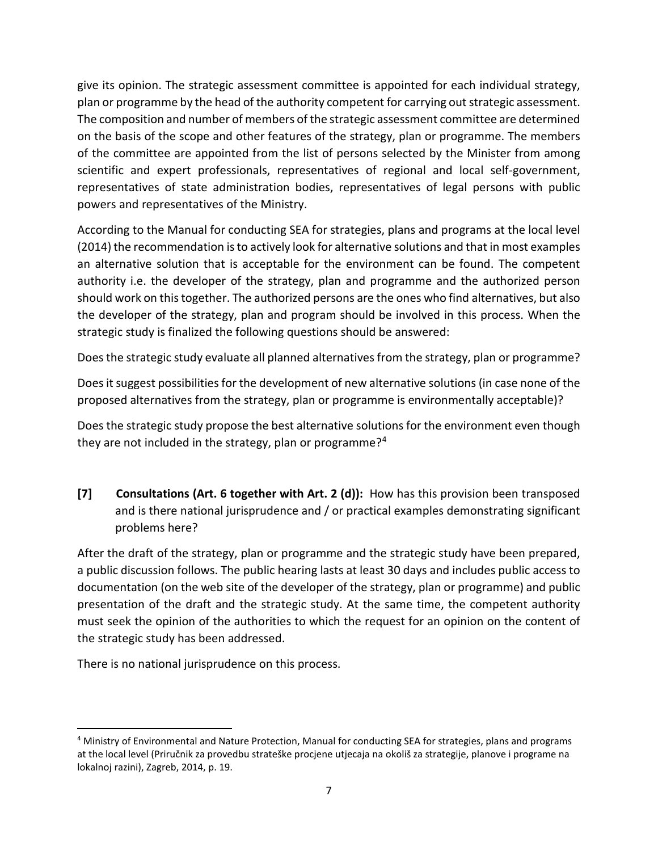give its opinion. The strategic assessment committee is appointed for each individual strategy, plan or programme by the head of the authority competent for carrying out strategic assessment. The composition and number of members of the strategic assessment committee are determined on the basis of the scope and other features of the strategy, plan or programme. The members of the committee are appointed from the list of persons selected by the Minister from among scientific and expert professionals, representatives of regional and local self-government, representatives of state administration bodies, representatives of legal persons with public powers and representatives of the Ministry.

According to the Manual for conducting SEA for strategies, plans and programs at the local level (2014) the recommendation is to actively look for alternative solutions and that in most examples an alternative solution that is acceptable for the environment can be found. The competent authority i.e. the developer of the strategy, plan and programme and the authorized person should work on this together. The authorized persons are the ones who find alternatives, but also the developer of the strategy, plan and program should be involved in this process. When the strategic study is finalized the following questions should be answered:

Does the strategic study evaluate all planned alternatives from the strategy, plan or programme?

Does it suggest possibilities for the development of new alternative solutions (in case none of the proposed alternatives from the strategy, plan or programme is environmentally acceptable)?

Does the strategic study propose the best alternative solutions for the environment even though they are not included in the strategy, plan or programme? $4$ 

**[7] Consultations (Art. 6 together with Art. 2 (d)):** How has this provision been transposed and is there national jurisprudence and / or practical examples demonstrating significant problems here?

After the draft of the strategy, plan or programme and the strategic study have been prepared, a public discussion follows. The public hearing lasts at least 30 days and includes public access to documentation (on the web site of the developer of the strategy, plan or programme) and public presentation of the draft and the strategic study. At the same time, the competent authority must seek the opinion of the authorities to which the request for an opinion on the content of the strategic study has been addressed.

There is no national jurisprudence on this process.

<span id="page-6-0"></span> <sup>4</sup> Ministry of Environmental and Nature Protection, Manual for conducting SEA for strategies, plans and programs at the local level (Priručnik za provedbu strateške procjene utjecaja na okoliš za strategije, planove i programe na lokalnoj razini), Zagreb, 2014, p. 19.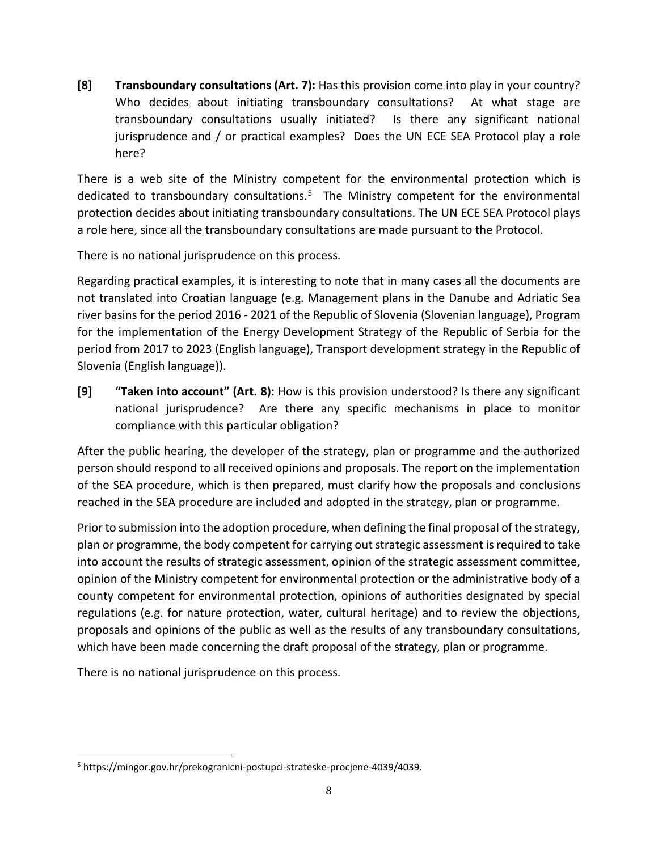**[8] Transboundary consultations (Art. 7):** Has this provision come into play in your country? Who decides about initiating transboundary consultations? At what stage are transboundary consultations usually initiated? Is there any significant national jurisprudence and / or practical examples? Does the UN ECE SEA Protocol play a role here?

There is a web site of the Ministry competent for the environmental protection which is dedicated to transboundary consultations.<sup>[5](#page-7-0)</sup> The Ministry competent for the environmental protection decides about initiating transboundary consultations. The UN ECE SEA Protocol plays a role here, since all the transboundary consultations are made pursuant to the Protocol.

There is no national jurisprudence on this process.

Regarding practical examples, it is interesting to note that in many cases all the documents are not translated into Croatian language (e.g. Management plans in the Danube and Adriatic Sea river basins for the period 2016 - 2021 of the Republic of Slovenia (Slovenian language), Program for the implementation of the Energy Development Strategy of the Republic of Serbia for the period from 2017 to 2023 (English language), Transport development strategy in the Republic of Slovenia (English language)).

**[9] "Taken into account" (Art. 8):** How is this provision understood? Is there any significant national jurisprudence? Are there any specific mechanisms in place to monitor compliance with this particular obligation?

After the public hearing, the developer of the strategy, plan or programme and the authorized person should respond to all received opinions and proposals. The report on the implementation of the SEA procedure, which is then prepared, must clarify how the proposals and conclusions reached in the SEA procedure are included and adopted in the strategy, plan or programme.

Prior to submission into the adoption procedure, when defining the final proposal of the strategy, plan or programme, the body competent for carrying out strategic assessment is required to take into account the results of strategic assessment, opinion of the strategic assessment committee, opinion of the Ministry competent for environmental protection or the administrative body of a county competent for environmental protection, opinions of authorities designated by special regulations (e.g. for nature protection, water, cultural heritage) and to review the objections, proposals and opinions of the public as well as the results of any transboundary consultations, which have been made concerning the draft proposal of the strategy, plan or programme.

There is no national jurisprudence on this process.

<span id="page-7-0"></span> <sup>5</sup> https://mingor.gov.hr/prekogranicni-postupci-strateske-procjene-4039/4039.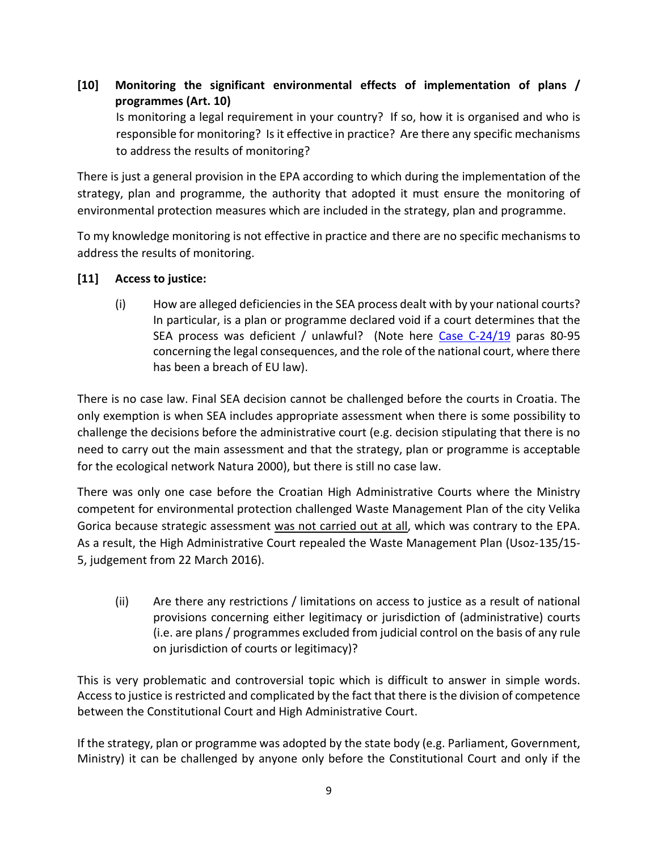**[10] Monitoring the significant environmental effects of implementation of plans / programmes (Art. 10)**

Is monitoring a legal requirement in your country? If so, how it is organised and who is responsible for monitoring? Is it effective in practice? Are there any specific mechanisms to address the results of monitoring?

There is just a general provision in the EPA according to which during the implementation of the strategy, plan and programme, the authority that adopted it must ensure the monitoring of environmental protection measures which are included in the strategy, plan and programme.

To my knowledge monitoring is not effective in practice and there are no specific mechanisms to address the results of monitoring.

# **[11] Access to justice:**

(i) How are alleged deficiencies in the SEA process dealt with by your national courts? In particular, is a plan or programme declared void if a court determines that the SEA process was deficient / unlawful? (Note here [Case C-24/19](http://curia.europa.eu/juris/document/document.jsf?text=&docid=227726&pageIndex=0&doclang=en&mode=lst&dir=&occ=first&part=1&cid=1000009) paras 80-95 concerning the legal consequences, and the role of the national court, where there has been a breach of EU law).

There is no case law. Final SEA decision cannot be challenged before the courts in Croatia. The only exemption is when SEA includes appropriate assessment when there is some possibility to challenge the decisions before the administrative court (e.g. decision stipulating that there is no need to carry out the main assessment and that the strategy, plan or programme is acceptable for the ecological network Natura 2000), but there is still no case law.

There was only one case before the Croatian High Administrative Courts where the Ministry competent for environmental protection challenged Waste Management Plan of the city Velika Gorica because strategic assessment was not carried out at all, which was contrary to the EPA. As a result, the High Administrative Court repealed the Waste Management Plan (Usoz-135/15- 5, judgement from 22 March 2016).

(ii) Are there any restrictions / limitations on access to justice as a result of national provisions concerning either legitimacy or jurisdiction of (administrative) courts (i.e. are plans / programmes excluded from judicial control on the basis of any rule on jurisdiction of courts or legitimacy)?

This is very problematic and controversial topic which is difficult to answer in simple words. Access to justice is restricted and complicated by the fact that there is the division of competence between the Constitutional Court and High Administrative Court.

If the strategy, plan or programme was adopted by the state body (e.g. Parliament, Government, Ministry) it can be challenged by anyone only before the Constitutional Court and only if the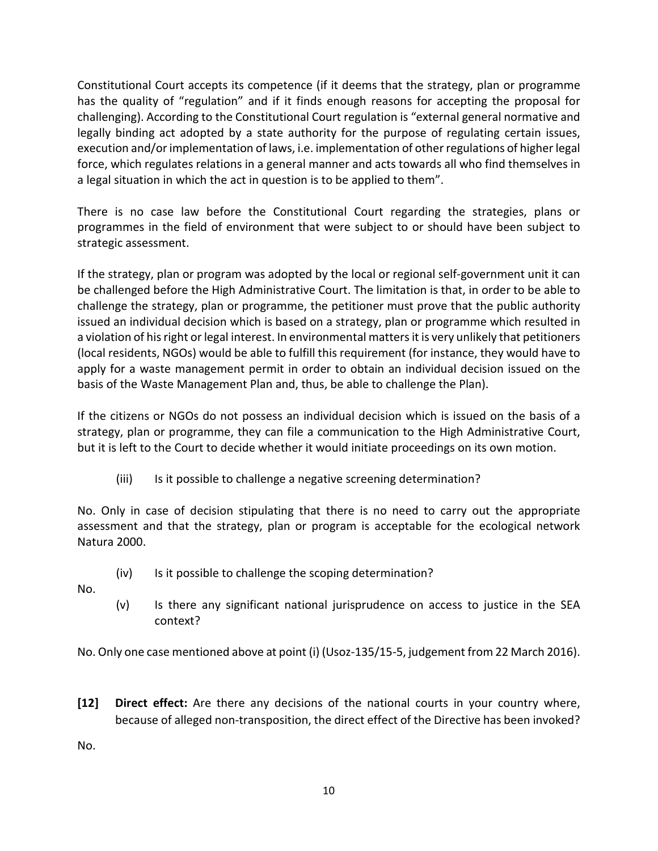Constitutional Court accepts its competence (if it deems that the strategy, plan or programme has the quality of "regulation" and if it finds enough reasons for accepting the proposal for challenging). According to the Constitutional Court regulation is "external general normative and legally binding act adopted by a state authority for the purpose of regulating certain issues, execution and/or implementation of laws, i.e. implementation of other regulations of higher legal force, which regulates relations in a general manner and acts towards all who find themselves in a legal situation in which the act in question is to be applied to them".

There is no case law before the Constitutional Court regarding the strategies, plans or programmes in the field of environment that were subject to or should have been subject to strategic assessment.

If the strategy, plan or program was adopted by the local or regional self-government unit it can be challenged before the High Administrative Court. The limitation is that, in order to be able to challenge the strategy, plan or programme, the petitioner must prove that the public authority issued an individual decision which is based on a strategy, plan or programme which resulted in a violation of hisright or legal interest. In environmental matters it is very unlikely that petitioners (local residents, NGOs) would be able to fulfill this requirement (for instance, they would have to apply for a waste management permit in order to obtain an individual decision issued on the basis of the Waste Management Plan and, thus, be able to challenge the Plan).

If the citizens or NGOs do not possess an individual decision which is issued on the basis of a strategy, plan or programme, they can file a communication to the High Administrative Court, but it is left to the Court to decide whether it would initiate proceedings on its own motion.

(iii) Is it possible to challenge a negative screening determination?

No. Only in case of decision stipulating that there is no need to carry out the appropriate assessment and that the strategy, plan or program is acceptable for the ecological network Natura 2000.

- (iv) Is it possible to challenge the scoping determination?
- No.
- (v) Is there any significant national jurisprudence on access to justice in the SEA context?

No. Only one case mentioned above at point (i) (Usoz-135/15-5, judgement from 22 March 2016).

**[12] Direct effect:** Are there any decisions of the national courts in your country where, because of alleged non-transposition, the direct effect of the Directive has been invoked?

No.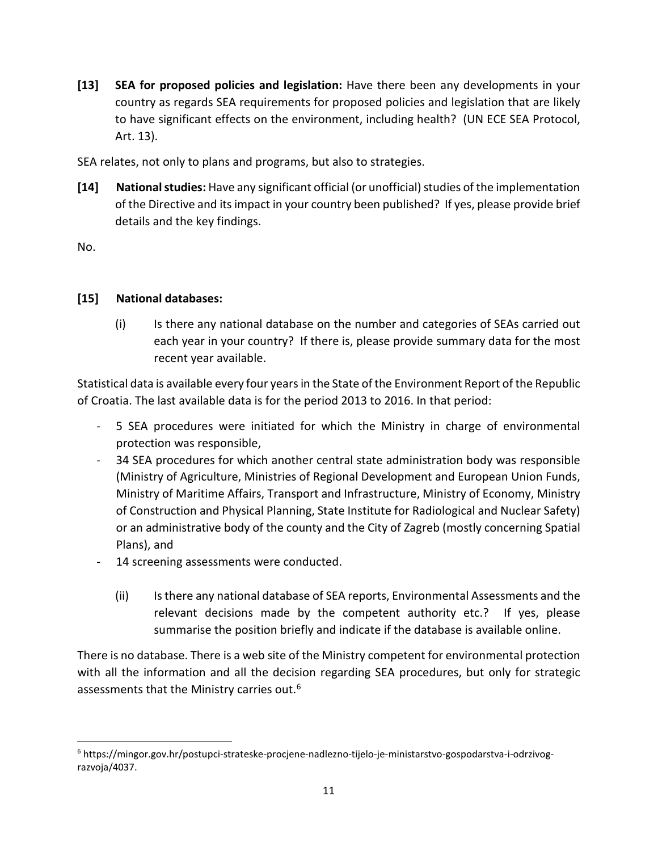**[13] SEA for proposed policies and legislation:** Have there been any developments in your country as regards SEA requirements for proposed policies and legislation that are likely to have significant effects on the environment, including health? (UN ECE SEA Protocol, Art. 13).

SEA relates, not only to plans and programs, but also to strategies.

**[14] National studies:** Have any significant official (or unofficial) studies of the implementation of the Directive and its impact in your country been published? If yes, please provide brief details and the key findings.

No.

# **[15] National databases:**

(i) Is there any national database on the number and categories of SEAs carried out each year in your country? If there is, please provide summary data for the most recent year available.

Statistical data is available every four years in the State of the Environment Report of the Republic of Croatia. The last available data is for the period 2013 to 2016. In that period:

- 5 SEA procedures were initiated for which the Ministry in charge of environmental protection was responsible,
- 34 SEA procedures for which another central state administration body was responsible (Ministry of Agriculture, Ministries of Regional Development and European Union Funds, Ministry of Maritime Affairs, Transport and Infrastructure, Ministry of Economy, Ministry of Construction and Physical Planning, State Institute for Radiological and Nuclear Safety) or an administrative body of the county and the City of Zagreb (mostly concerning Spatial Plans), and
- 14 screening assessments were conducted.
	- (ii) Is there any national database of SEA reports, Environmental Assessments and the relevant decisions made by the competent authority etc.? If yes, please summarise the position briefly and indicate if the database is available online.

There is no database. There is a web site of the Ministry competent for environmental protection with all the information and all the decision regarding SEA procedures, but only for strategic assessments that the Ministry carries out.<sup>[6](#page-10-0)</sup>

<span id="page-10-0"></span> <sup>6</sup> https://mingor.gov.hr/postupci-strateske-procjene-nadlezno-tijelo-je-ministarstvo-gospodarstva-i-odrzivograzvoja/4037.